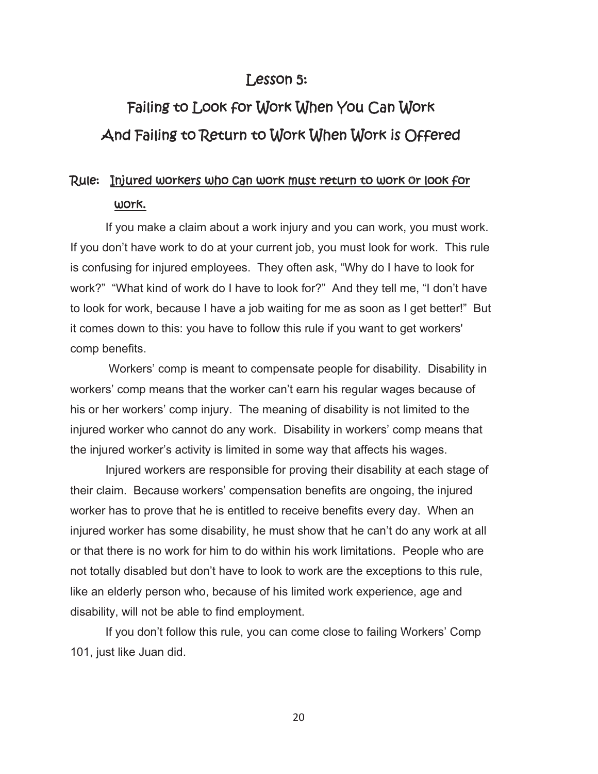### *Lesson 5:*

# *Failing to Look for Work When You Can Work And Failing to Return to Work When Work is Offered*

## *Rule: Injured workers who can work must return to work or look for work.*

If you make a claim about a work injury and you can work, you must work. If you don't have work to do at your current job, you must look for work. This rule is confusing for injured employees. They often ask, "Why do I have to look for work?" "What kind of work do I have to look for?" And they tell me, "I don't have to look for work, because I have a job waiting for me as soon as I get better!" But it comes down to this: you have to follow this rule if you want to get workers' comp benefits.

 Workers' comp is meant to compensate people for disability. Disability in workers' comp means that the worker can't earn his regular wages because of his or her workers' comp injury. The meaning of disability is not limited to the injured worker who cannot do any work. Disability in workers' comp means that the injured worker's activity is limited in some way that affects his wages.

 Injured workers are responsible for proving their disability at each stage of their claim. Because workers' compensation benefits are ongoing, the injured worker has to prove that he is entitled to receive benefits every day. When an injured worker has some disability, he must show that he can't do any work at all or that there is no work for him to do within his work limitations. People who are not totally disabled but don't have to look to work are the exceptions to this rule, like an elderly person who, because of his limited work experience, age and disability, will not be able to find employment.

If you don't follow this rule, you can come close to failing Workers' Comp 101, just like Juan did.

20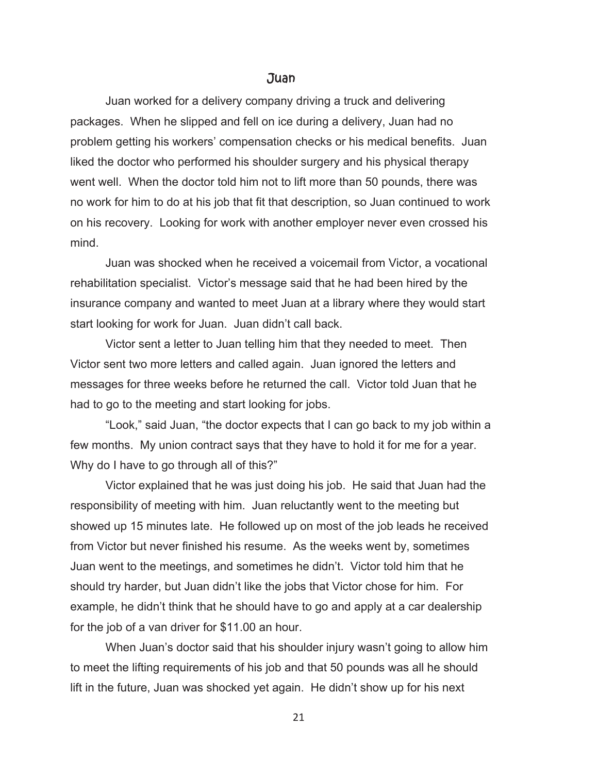#### *Juan*

 Juan worked for a delivery company driving a truck and delivering packages. When he slipped and fell on ice during a delivery, Juan had no problem getting his workers' compensation checks or his medical benefits. Juan liked the doctor who performed his shoulder surgery and his physical therapy went well. When the doctor told him not to lift more than 50 pounds, there was no work for him to do at his job that fit that description, so Juan continued to work on his recovery. Looking for work with another employer never even crossed his mind.

 Juan was shocked when he received a voicemail from Victor, a vocational rehabilitation specialist. Victor's message said that he had been hired by the insurance company and wanted to meet Juan at a library where they would start start looking for work for Juan. Juan didn't call back.

Victor sent a letter to Juan telling him that they needed to meet. Then Victor sent two more letters and called again. Juan ignored the letters and messages for three weeks before he returned the call. Victor told Juan that he had to go to the meeting and start looking for jobs.

 "Look," said Juan, "the doctor expects that I can go back to my job within a few months. My union contract says that they have to hold it for me for a year. Why do I have to go through all of this?"

 Victor explained that he was just doing his job. He said that Juan had the responsibility of meeting with him. Juan reluctantly went to the meeting but showed up 15 minutes late. He followed up on most of the job leads he received from Victor but never finished his resume. As the weeks went by, sometimes Juan went to the meetings, and sometimes he didn't. Victor told him that he should try harder, but Juan didn't like the jobs that Victor chose for him. For example, he didn't think that he should have to go and apply at a car dealership for the job of a van driver for \$11.00 an hour.

 When Juan's doctor said that his shoulder injury wasn't going to allow him to meet the lifting requirements of his job and that 50 pounds was all he should lift in the future, Juan was shocked yet again. He didn't show up for his next

21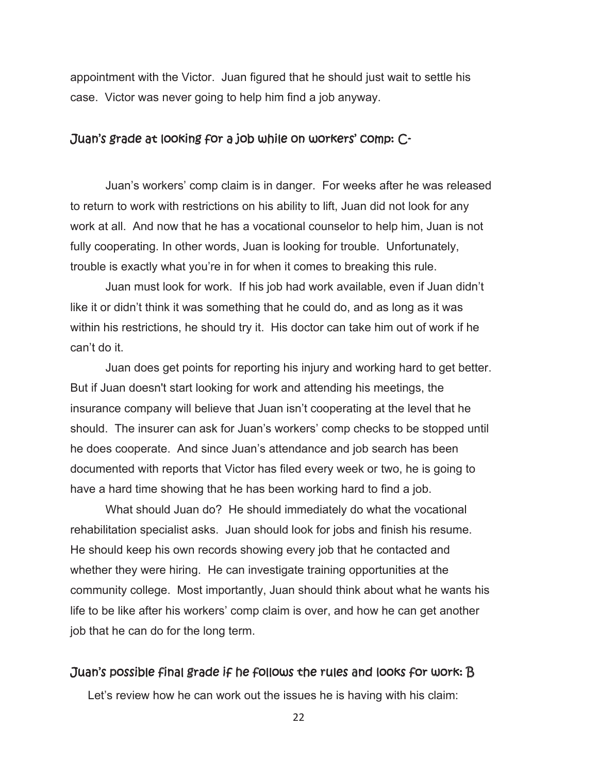appointment with the Victor. Juan figured that he should just wait to settle his case. Victor was never going to help him find a job anyway.

#### *Juan's grade at looking for a job while on workers' comp: C-*

 Juan's workers' comp claim is in danger. For weeks after he was released to return to work with restrictions on his ability to lift, Juan did not look for any work at all. And now that he has a vocational counselor to help him, Juan is not fully cooperating. In other words, Juan is looking for trouble. Unfortunately, trouble is exactly what you're in for when it comes to breaking this rule.

 Juan must look for work. If his job had work available, even if Juan didn't like it or didn't think it was something that he could do, and as long as it was within his restrictions, he should try it. His doctor can take him out of work if he can't do it.

 Juan does get points for reporting his injury and working hard to get better. But if Juan doesn't start looking for work and attending his meetings, the insurance company will believe that Juan isn't cooperating at the level that he should. The insurer can ask for Juan's workers' comp checks to be stopped until he does cooperate. And since Juan's attendance and job search has been documented with reports that Victor has filed every week or two, he is going to have a hard time showing that he has been working hard to find a job.

 What should Juan do? He should immediately do what the vocational rehabilitation specialist asks. Juan should look for jobs and finish his resume. He should keep his own records showing every job that he contacted and whether they were hiring. He can investigate training opportunities at the community college. Most importantly, Juan should think about what he wants his life to be like after his workers' comp claim is over, and how he can get another job that he can do for the long term.

#### *Juan's possible final grade if he follows the rules and looks for work: B*

Let's review how he can work out the issues he is having with his claim:

22